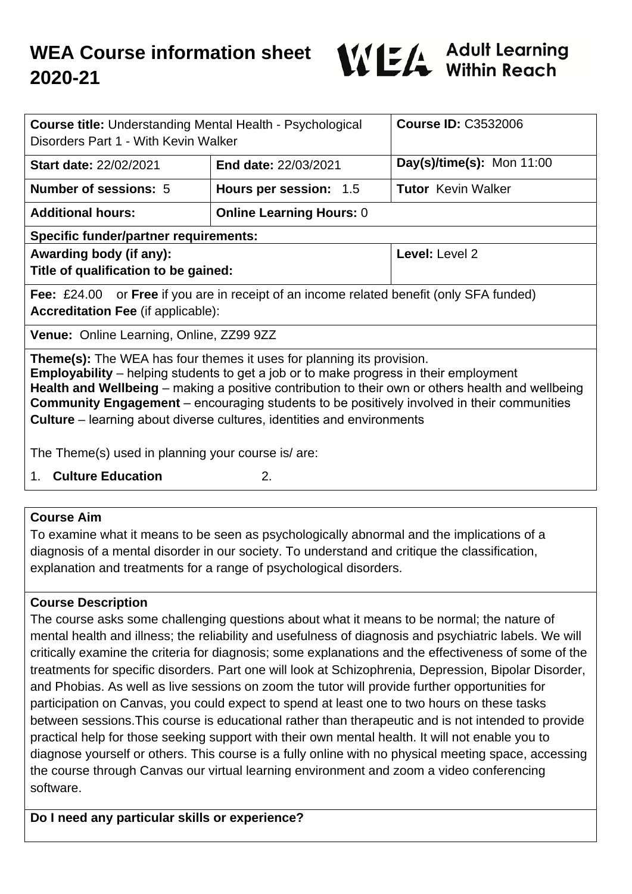

| <b>Course title: Understanding Mental Health - Psychological</b><br>Disorders Part 1 - With Kevin Walker                                                                                                                                                                                                                                                                                                                                                                |                                 | <b>Course ID: C3532006</b> |
|-------------------------------------------------------------------------------------------------------------------------------------------------------------------------------------------------------------------------------------------------------------------------------------------------------------------------------------------------------------------------------------------------------------------------------------------------------------------------|---------------------------------|----------------------------|
| <b>Start date: 22/02/2021</b>                                                                                                                                                                                                                                                                                                                                                                                                                                           | <b>End date: 22/03/2021</b>     | Day(s)/time(s): Mon 11:00  |
| <b>Number of sessions: 5</b>                                                                                                                                                                                                                                                                                                                                                                                                                                            | Hours per session: 1.5          | <b>Tutor</b> Kevin Walker  |
| <b>Additional hours:</b>                                                                                                                                                                                                                                                                                                                                                                                                                                                | <b>Online Learning Hours: 0</b> |                            |
| <b>Specific funder/partner requirements:</b>                                                                                                                                                                                                                                                                                                                                                                                                                            |                                 |                            |
| Awarding body (if any):<br>Title of qualification to be gained:                                                                                                                                                                                                                                                                                                                                                                                                         |                                 | Level: Level 2             |
| <b>Fee:</b> £24.00 or <b>Free</b> if you are in receipt of an income related benefit (only SFA funded)<br><b>Accreditation Fee (if applicable):</b>                                                                                                                                                                                                                                                                                                                     |                                 |                            |
| Venue: Online Learning, Online, ZZ99 9ZZ                                                                                                                                                                                                                                                                                                                                                                                                                                |                                 |                            |
| <b>Theme(s):</b> The WEA has four themes it uses for planning its provision.<br><b>Employability</b> – helping students to get a job or to make progress in their employment<br>Health and Wellbeing – making a positive contribution to their own or others health and wellbeing<br><b>Community Engagement</b> – encouraging students to be positively involved in their communities<br><b>Culture</b> – learning about diverse cultures, identities and environments |                                 |                            |
| The Theme(s) used in planning your course is/ are:                                                                                                                                                                                                                                                                                                                                                                                                                      |                                 |                            |
| 1. Culture Education                                                                                                                                                                                                                                                                                                                                                                                                                                                    | 2.                              |                            |

### **Course Aim**

To examine what it means to be seen as psychologically abnormal and the implications of a diagnosis of a mental disorder in our society. To understand and critique the classification, explanation and treatments for a range of psychological disorders.

### **Course Description**

The course asks some challenging questions about what it means to be normal; the nature of mental health and illness; the reliability and usefulness of diagnosis and psychiatric labels. We will critically examine the criteria for diagnosis; some explanations and the effectiveness of some of the treatments for specific disorders. Part one will look at Schizophrenia, Depression, Bipolar Disorder, and Phobias. As well as live sessions on zoom the tutor will provide further opportunities for participation on Canvas, you could expect to spend at least one to two hours on these tasks between sessions.This course is educational rather than therapeutic and is not intended to provide practical help for those seeking support with their own mental health. It will not enable you to diagnose yourself or others. This course is a fully online with no physical meeting space, accessing the course through Canvas our virtual learning environment and zoom a video conferencing software.

**Do I need any particular skills or experience?**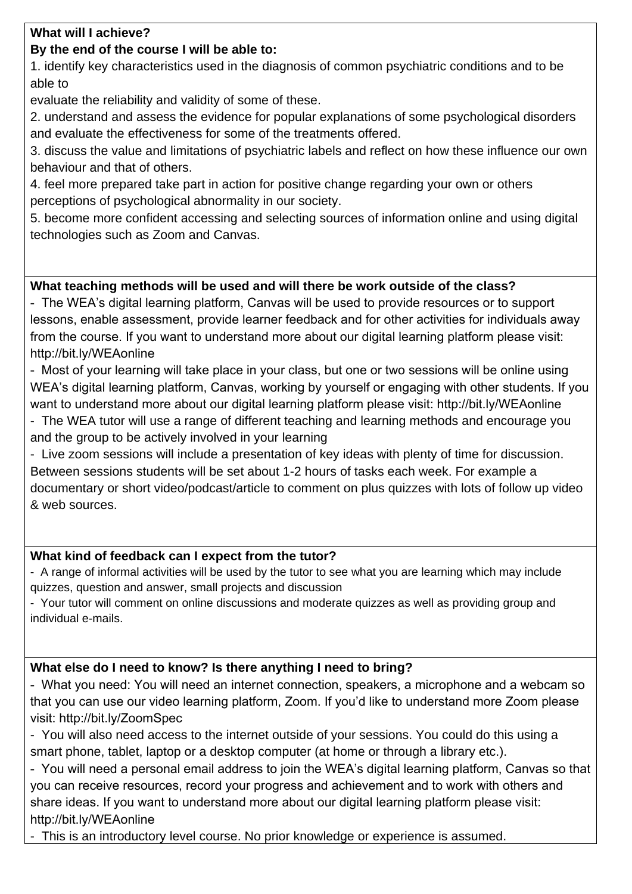### **What will I achieve?**

## **By the end of the course I will be able to:**

1. identify key characteristics used in the diagnosis of common psychiatric conditions and to be able to

evaluate the reliability and validity of some of these.

2. understand and assess the evidence for popular explanations of some psychological disorders and evaluate the effectiveness for some of the treatments offered.

3. discuss the value and limitations of psychiatric labels and reflect on how these influence our own behaviour and that of others.

4. feel more prepared take part in action for positive change regarding your own or others perceptions of psychological abnormality in our society.

5. become more confident accessing and selecting sources of information online and using digital technologies such as Zoom and Canvas.

## **What teaching methods will be used and will there be work outside of the class?**

- The WEA's digital learning platform, Canvas will be used to provide resources or to support lessons, enable assessment, provide learner feedback and for other activities for individuals away from the course. If you want to understand more about our digital learning platform please visit: http://bit.ly/WEAonline

- Most of your learning will take place in your class, but one or two sessions will be online using WEA's digital learning platform, Canvas, working by yourself or engaging with other students. If you want to understand more about our digital learning platform please visit: http://bit.ly/WEAonline

- The WEA tutor will use a range of different teaching and learning methods and encourage you and the group to be actively involved in your learning

- Live zoom sessions will include a presentation of key ideas with plenty of time for discussion. Between sessions students will be set about 1-2 hours of tasks each week. For example a documentary or short video/podcast/article to comment on plus quizzes with lots of follow up video & web sources.

### **What kind of feedback can I expect from the tutor?**

- A range of informal activities will be used by the tutor to see what you are learning which may include quizzes, question and answer, small projects and discussion

- Your tutor will comment on online discussions and moderate quizzes as well as providing group and individual e-mails.

# **What else do I need to know? Is there anything I need to bring?**

- What you need: You will need an internet connection, speakers, a microphone and a webcam so that you can use our video learning platform, Zoom. If you'd like to understand more Zoom please visit: http://bit.ly/ZoomSpec

- You will also need access to the internet outside of your sessions. You could do this using a smart phone, tablet, laptop or a desktop computer (at home or through a library etc.).

- You will need a personal email address to join the WEA's digital learning platform, Canvas so that you can receive resources, record your progress and achievement and to work with others and share ideas. If you want to understand more about our digital learning platform please visit: http://bit.ly/WEAonline

- This is an introductory level course. No prior knowledge or experience is assumed.